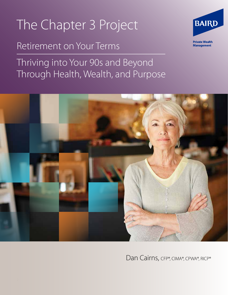# The Chapter 3 Project

### Retirement on Your Terms

Thriving into Your 90s and Beyond Through Health, Wealth, and Purpose





Dan Cairns, CFP®, CIMA®, CPWA®, RICP®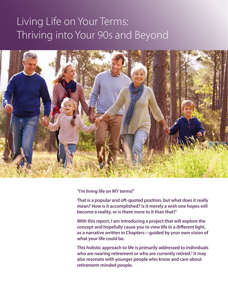## Living Life on Your Terms: Thriving into Your 90s and Beyond



**"I'm living life on MY terms!"**

**That is a popular and oft-quoted position, but what does it really mean? How is it accomplished? Is it merely a wish one hopes will become a reality, or is there more to it than that?1**

**With this report, I am introducing a project that will explore the concept and hopefully cause you to view life in a different light, as a narrative written in Chapters—guided by your own vision of what your life could be.**

**This holistic approach to life is primarily addressed to individuals who are nearing retirement or who are currently retired.2 It may also resonate with younger people who know and care about retirement-minded people.**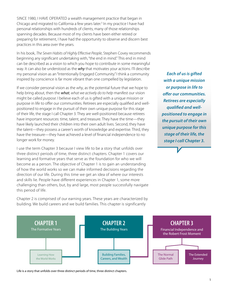SINCE 1980, I HAVE OPERATED a wealth management practice that began in Chicago and migrated to California a few years later.<sup>3</sup> In my practice I have had personal relationships with hundreds of clients, many of those relationships spanning decades. Because most of my clients have been either retired or preparing for retirement, I have had the opportunity to observe and discern best practices in this area over the years.

In his book, *The Seven Habits of Highly Effective People*, Stephen Covey recommends beginning any significant undertaking with, "the end in mind." This end in mind can be described as a vision to which you hope to contribute in some meaningful way. It can also be understood as the *why* that motivates your actions. I'll describe my personal vision as an "Intentionally Engaged Community." I think a community inspired by conscience is far more vibrant than one compelled by legislation.

If we consider personal vision as the *why*, as the potential future that we hope to help bring about, then the *what, what we actively do to help* manifest our vision might be called *purpose*. I believe each of us is gifted with a unique mission or purpose in life to offer our communities. Retirees are especially qualified and wellpositioned to engage in the pursuit of their own unique purpose for this stage of their life, the stage I call Chapter 3. They are well-positioned because retirees have important resources: time, talent, and treasure. They have the time—they have likely launched their children into their own adult lives. Second, they have the talent—they possess a career's worth of knowledge and expertise. Third, they have the treasure—they have achieved a level of financial independence to no longer work for money.

I use the term Chapter 3 because I view life to be a story that unfolds over three distinct periods of time, three distinct chapters. Chapter 1 covers our learning and formative years that serve as the foundation for who we will become as a person. The objective of Chapter 1 is to gain an understanding of how the world works so we can make informed decisions regarding the direction of our life. During this time we get an idea of where our interests and skills lie. People have different experiences in Chapter 1, some more challenging than others, but, by and large, most people successfully navigate this period of life.

Chapter 2 is comprised of our earning years. These years are characterized by building. We build careers and we build families. This chapter is significantly

*Each of us is gifted with a unique mission or purpose in life to offer our communities. Retirees are especially qualified and wellpositioned to engage in the pursuit of their own unique purpose for this stage of their life, the stage I call Chapter 3.*



Life is a story that unfolds over three distinct periods of time, three distinct chapters.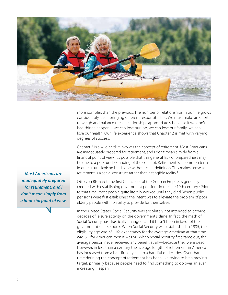

more complex than the previous. The number of relationships in our life grows considerably, each bringing different responsibilities. We must make an effort to weigh and balance these relationships appropriately because if we don't bad things happen—we can lose our job, we can lose our family, we can lose our health. Our life experience shows that Chapter 2 is met with varying degrees of success.

Chapter 3 is a wild card; it involves the concept of retirement. Most Americans are inadequately prepared for retirement, and I don't mean simply from a financial point of view. It's possible that this general lack of preparedness may be due to a poor understanding of the concept. Retirement is a common term in our cultural lexicon but is one without clear definition. This makes sense as retirement is a social construct rather than a tangible reality.<sup>4</sup>

Otto von Bismarck, the first Chancellor of the German Empire, is generally credited with establishing government pensions in the late 19th century.<sup>5</sup> Prior to that time, most people quite literally worked until they died. When public pensions were first established the intent was to alleviate the problem of poor elderly people with no ability to provide for themselves.

In the United States, Social Security was absolutely not intended to provide decades of leisure activity on the government's dime. In fact, the math of Social Security has drastically changed, and it hasn't been in favor of the government's checkbook. When Social Security was established in 1935, the eligibility age was 65. Life expectancy for the average American at that time was 61; for American men it was 58. When Social Security first came out, the average person never received any benefit at all—because they were dead. However, in less than a century the average length of retirement in America has increased from a handful of years to a handful of decades. Over that time defining the concept of retirement has been like trying to hit a moving target, primarily because people need to find something to do over an ever increasing lifespan.

*Most Americans are inadequately prepared for retirement, and I don't mean simply from a financial point of view.*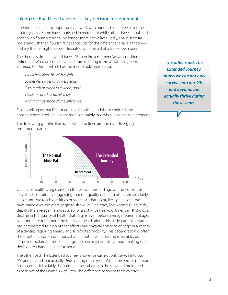#### Taking the Road Less Traveled—a key decision for retirement

I mentioned earlier my opportunity to work with hundreds of retirees over the last forty years. Some have flourished in retirement while others have languished. Those who flourish tend to live longer, more active lives. Sadly, I have seen far more languish than flourish. What accounts for the difference? I have a theory and my theory might be best illustrated with the aid of a well-known poem.

The theory is simple—we all have a "Robert Frost moment" as we consider retirement. What do I mean by that? I am referring to Frost's famous poem, *The Road Not Taken*, which has the memorable final stanza:

*I shall be telling this with a sigh Somewhere ages and ages hence: Two roads diverged in a wood, and I— I took the one less traveled by, And that has made all the difference.*

*The other road, The Extended Journey, shows we can not only survive into our 90s and beyond, but actually thrive during those years.* 

Frost is telling us that life is made up of choices, and those choices have consequences. I believe his assertion is certainly true when it comes to retirement.

The following graphic illustrates what I believe are the two diverging retirement roads:



Quality of health is registered on the vertical axis and age on the horizontal axis. This illustration is suggesting that our quality of health often remains fairly stable until we reach our fifties or sixties. At that point, lifestyle choices we have made over the years begin to show up. One road, The Normal Glide Path, depicts the average life expectancy of a sixty-five-year-old American. It shows a decline in the quality of health that begins even before average retirement age. Not long after retirement the quality of health along this glide path of a road has deteriorated to a point that affects our physical ability to engage in a variety of activities requiring energy and surefooted mobility. This deterioration is often the result of chronic conditions that are both avoidable and reversible, but it's never too late to make a change. I'll share my own story about making the decision to change a little further on. For the **Continent Conduct Conduct Conduct** Conduct Conduction of the extended Condity of health is registered on the vertical axis and age on the horizontation axis. This illustration is suggesting that our quality of hea

The other road, The Extended Journey, shows we can not only *survive* into our 90s and beyond, but actually *thrive* during those years. When the end-of-the-road finally comes it is a fairly short time frame rather than the slow and prolonged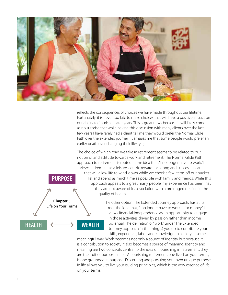

reflects the consequences of choices we have made throughout our lifetime. Fortunately, it is never too late to make choices that will have a positive impact on our ability to flourish in later years. This is great news because it will likely come as no surprise that while having this discussion with many clients over the last few years I have rarely had a client tell me they would prefer the Normal Glide Path over the extended journey (It amazes me that some people would prefer an earlier death over changing their lifestyle).



The other option, The Extended Journey approach, has at its root the idea that, "I no longer have to work…for money." It views financial independence as an opportunity to engage in those activities driven by passion rather than income potential. The definition of "work" under The Extended Journey approach is: the thing(s) you do to contribute your skills, experience, labor, and knowledge to society in some

meaningful way. Work becomes not only a source of identity but because it is a contribution to society it also becomes a source of meaning. Identity and meaning are two concepts central to the idea of flourishing in retirement; they are the fruit of purpose in life. A flourishing retirement, one lived on your terms, is one grounded in purpose. Discerning and pursuing your own unique purpose in life allows you to live your guiding principles, which is the very essence of life on your terms.

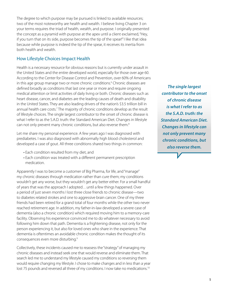The degree to which purpose may be pursued is linked to available resources; two of the most noteworthy are health and wealth. I believe living Chapter 3 on your terms requires the triad of health, wealth, and purpose. I originally presented the concept as a pyramid with purpose at the apex until a client exclaimed, "Hey, if you turn that on its side, purpose becomes the tip of the spear!" I like that idea because while purpose is indeed the tip of the spear, it receives its inertia from both health and wealth.

#### How Lifestyle Choices Impact Health

Health is a necessary resource for obvious reasons but is currently under assault in the United States and the entire developed world, especially for those over age 60. According to the Center for Disease Control and Prevention, over 60% of Americans in this age group manage two or more chronic conditions.<sup>6</sup> Chronic diseases are defined broadly as conditions that last one year or more and require ongoing medical attention or limit activities of daily living or both. Chronic diseases such as heart disease, cancer, and diabetes are the leading causes of death and disability in the United States. They are also leading drivers of the nation's \$3.5 trillion bill in annual health care costs.<sup>7</sup> The majority of chronic conditions develop as the result of lifestyle choices. The single largest contributor to the onset of chronic disease is what I refer to as the S.A.D. truth: the Standard American Diet. Changes in lifestyle can not only prevent many chronic conditions, but also reverse them.<sup>8</sup>

Let me share my personal experience. A few years ago I was diagnosed with prediabetes. I was also diagnosed with abnormally high blood cholesterol and developed a case of gout. All three conditions shared two things in common:

- Each condition resulted from my diet, and
- Each condition was treated with a different permanent prescription medication.

Apparently I was to become a customer of Big Pharma, for life, and "manage" my chronic diseases through medication rather than cure them; my conditions wouldn't get any worse, but they wouldn't get any better either. For a small handful of years that was the approach I adopted…until a few things happened. Over a period of just seven months I lost three close friends to chronic disease—two to diabetes related strokes and one to aggressive brain cancer. One of my three friends had been retired for a grand total of four months while the other two never reached retirement age. In addition, my father-in-law developed a severe case of dementia (also a chronic condition) which required moving him to a memory-care facility. Observing his experience convinced me to do whatever necessary to avoid following him down that path. Dementia is a frightening disease, not only for the person experiencing it, but also for loved ones who share in the experience. That dementia is oftentimes an avoidable chronic condition makes the thought of its consequences even more disturbing.<sup>9</sup>

Collectively, these incidents caused me to reassess the "strategy" of managing my chronic diseases and instead seek one that would reverse and eliminate them. That search led me to understand my lifestyle caused my conditions so reversing them would require changing my lifestyle. I chose to make changes and in less than a year lost 75 pounds and reversed all three of my conditions. I now take no medications.<sup>10</sup>

*The single largest contributor to the onset of chronic disease is what I refer to as the S.A.D. truth: the Standard American Diet. Changes in lifestyle can not only prevent many chronic conditions, but also reverse them.*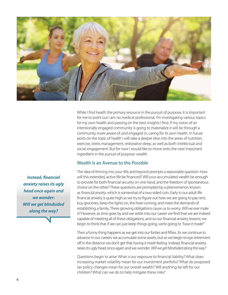

While I find health the *primary* resource in the pursuit of purpose, it is important for me to point out I am no medical professional. I'm investigating various topics for my own health and passing on the best insights I find. If my vision of an intentionally engaged community is going to materialize it will be through a community more aware of, and engaged in, caring for its own health. In future posts on the topic of health I will take a deeper dive into the areas of nutrition, exercise, stress management, restorative sleep, as well as both intellectual and social engagement. But for now I would like to move onto the next important ingredient in the pursuit of purpose: wealth.

#### Wealth Is an Avenue to the Possible

The idea of thriving into your 90s and beyond prompts a reasonable question: How will this extended, active life be financed? Will your accumulated wealth be enough to provide for both financial security on one hand, and the freedom of spontaneous choice on the other? These questions are prompted by a phenomenon known as *financial anxiety*, which is somewhat of a two-sided coin. Early in our adult life financial anxiety is quite high as we try to figure out how we are going to pay rent, buy groceries, keep the lights on, the heat running, and meet the demands of establishing a family. These growing obligations cause us to worry: *Will we ever make it?* However, as time goes by and we settle into our career we find that we are indeed capable of meeting all of these obligations, and so our financial anxiety lessens; we begin to think that if we can just keep things going, we're going to *"have it made!"*

Then a funny thing happens as we get into our forties and fifties. As we continue to advance in our careers we accumulate some assets, but as we begin to eye retirement off in the distance we don't get that *having it made* feeling. Instead, financial anxiety raises its ugly head once again and we wonder: *Will we get blindsided along the way?*

Questions begin to arise: What is our exposure to financial liability? What does increasing market volatility mean for our investment portfolio? What do proposed tax policy changes mean for our overall wealth? Will anything be left for our children? What can we do to help mitigate these risks?

*Instead, financial anxiety raises its ugly head once again and we wonder: Will we get blindsided along the way?*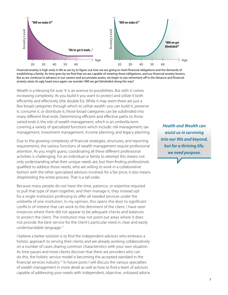

Financial anxiety is high early in life as we try to figure out how we are going to meet financial obligations and the demands of establishing a family. As time goes by we find that we are capable of meeting these obligations, and our financial anxiety lessens. But as we continue to advance in our careers and accumulate assets, we begin to eye retirement off in the distance and financial anxiety raises its ugly head once again; we wonder: Will we get blindsided along the way?

Wealth is a blessing for sure. It is an avenue to possibilities. But with it comes increasing complexity. As you build it you want to protect and utilize it both efficiently and effectively (the double Es). While it may seem there are just a few broad categories through which to utilize wealth: you can build it, preserve it, consume it, or distribute it; those broad categories can be subdivided into many different final ends. Determining efficient and effective paths to those varied ends is the role of wealth management, which is an umbrella term covering a variety of specialized functions which include: risk management, tax management, investment management, income planning, and legacy planning.

Due to the growing complexity of financial strategies, structures, and reporting requirements, the various functions of wealth management require professional attention. As you might guess, coordinating all these different professional activities is challenging. For an individual or family to attempt this means not only understanding what their unique needs are, but then finding professionals qualified to address those needs, who are willing to work in a collaborative fashion with the other specialized advisors involved, for a fair price; it also means shepherding the entire process. That is a tall order.

Because many people do not have the time, patience, or expertise required to pull that type of team together, and then manage it, they instead opt for a single institution professing to offer all needed services under the umbrella of one institution. In my opinion, this opens the door to significant conflicts of interest that can work to the detriment of the client. I have seen instances where there did not appear to be adequate checks and balances to protect the client. The institution may not point out areas where it does not provide the best service for the client's particular need in clear and easily understandable language.11

I believe a better solution is to find the independent advisors who embrace a holistic approach to serving their clients and are already working collaboratively on a number of cases sharing common characteristics with your own situation. As time passes and more clients discover that there are providers who can do this, the holistic service model is becoming the accepted standard in the financial services industry.<sup>12</sup> In future posts I will discuss the various specialties of wealth management in more detail as well as how to find a team of advisors capable of addressing your needs with independent, objective, unbiased advice.

*Health and Wealth can assist us in surviving into our 90s and beyond, but for a thriving life, we need purpose.*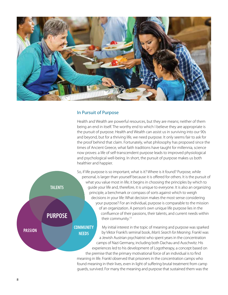

#### In Pursuit of Purpose

Health and Wealth are powerful resources, but they are means; neither of them being an end in itself. The worthy end to which I believe they are appropriate is the pursuit of purpose. Health and Wealth can assist us in surviving into our 90s and beyond, but for a thriving life, we need purpose. It only seems fair to ask for the proof behind that claim. Fortunately, what philosophy has proposed since the times of Ancient Greece, what faith traditions have taught for millennia, science now proves: a life of self-transcendent purpose leads to improved physiological and psychological well-being. In short, the pursuit of purpose makes us both healthier and happier.



So, if life purpose is so important, what is it? Where is it found? Purpose, while personal, is larger than yourself because it is offered for others. It is the pursuit of what you value most in life; it begins in choosing the principles by which to guide your life and, therefore, it is unique to everyone. It is also an organizing principle, a benchmark or compass of sorts against which to weigh decisions in your life: What decision makes the most sense considering your purpose? For an individual, purpose is comparable to the mission of an organization. A person's own unique life purpose lies in the confluence of their passions, their talents, and current needs within their community.13

My initial interest in the topic of meaning and purpose was sparked by Viktor Frankl's seminal book, *Man's Search for Meaning*. Frankl was a Jewish Austrian psychiatrist who spent years in the concentration camps of Nazi Germany, including both Dachau and Auschwitz. His experiences led to his development of Logotherapy, a concept based on the premise that the primary motivational force of an individual is to find

 meaning in life. Frankl observed that prisoners in the concentration camps who found meaning in their lives, even in light of suffering brutal treatment from camp guards, survived. For many the meaning and purpose that sustained them was the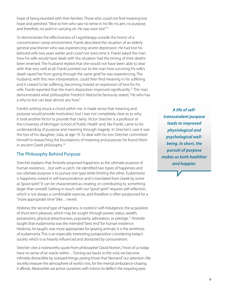hope of being reunited with their families. Those who could not find meaning lost hope and perished. "Woe to him who saw no sense in his life, no aim, no purpose, and therefore, no point in carrying on. He was soon lost."<sup>14</sup>

To demonstrate the effectiveness of Logotherapy outside the horror of a concentration camp environment, Frankl described the situation of an elderly general practitioner who was experiencing severe depression. He had lost his beloved wife two years earlier and could not overcome it. Frankl asked the man how his wife would have dealt with the situation had the timing of their deaths been reversed. The husband replied that she would not have been able to deal with that very well at all. Frankl pointed out to the man how surviving his wife's death saved her from going through the same grief he was experiencing. The husband, with this new interpretation, could then find meaning in his suffering and it ceased to be suffering, becoming instead an expression of love for his wife. Frankl reported that the man's disposition improved significantly.<sup>15</sup> The man demonstrated what philosopher Friedrich Nietzsche famously stated, "He who has a why to live can bear almost any how."

Frankl's writing struck a chord within me. It made sense that meaning and purpose would provide motivation, but I was not completely clear as to why; it took another Victor to provide that clarity. Victor Strecher is a professor at the University of Michigan School of Public Health and, like Frankl, came to his understanding of purpose and meaning through tragedy. In Strecher's case it was the loss of his daughter, Julia, at age 19. To deal with his loss Strecher committed himself to researching the foundations of meaning and purpose; he found them in ancient Greek philosophy.<sup>16</sup>

### The Philosophy Behind Purpose

Strecher explains that Aristotle proposed happiness as the ultimate purpose of human existence…but with a catch. He identified two types of happiness and our ultimate purpose is to pursue one type while limiting the other. *Eudaimonia* is happiness rooted in self-transcendence and is translated from Greek by some as "good spirit." It can be characterized as creating, or contributing to, something larger than oneself. Getting in touch with our "good spirit" requires self-reflection, which is not always a comfortable exercise, and therefore is often postponed for a "more appropriate time" (like…never).

*Hedonia*, the second type of happiness, is rooted in self-indulgence, the acquisition of short-term pleasure, which may be sought through power, status, wealth, possessions, physical attractiveness, popularity, admiration, or prestige.17 Aristotle taught that eudaimonia was the intended "best end" for human existence. Hedonia, he taught, was more appropriate for 'grazing animals;' it is the antithesis of eudaimonia. This is an especially interesting juxtaposition considering today's society which is so heavily influenced and distracted by consumerism.

Strecher cites a noteworthy quote from philosopher David Norton, "most of us today have no sense of an oracle within…Turning our backs to the void, we become infinitely distractible by outward things, prizing those that "demand" our attention. We secretly treasure the atmosphere of world crisis, for the mental ambulance-chasing it affords. Meanwhile we armor ourselves with mirrors to deflect the inquiring eyes

*A life of selftranscendent purpose leads to improved physiological and psychological wellbeing. In short, the pursuit of purpose makes us both healthier and happier.*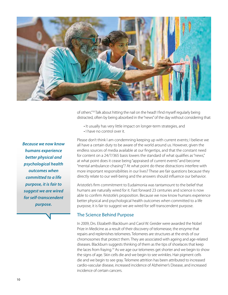

of others."18 Talk about hitting the nail on the head! I find myself regularly being distracted, often by being absorbed in the "news" of the day without considering that:

- It usually has very little impact on longer-term strategies, and
- I have no control over it.

*Because we now know humans experience better physical and psychological health outcomes when committed to a life purpose, it is fair to suggest we are wired for self-transcendent purpose.* 

Please don't think I am condemning keeping up with current events; I believe we all have a certain duty to be aware of the world around us. However, given the endless sources of media available at our fingertips, and that the constant need for content on a 24/7/365 basis lowers the standard of what qualifies as "news," at what point does it cease being "appraised of current events" and become "mental ambulance-chasing"? At what point do these distractions interfere with more important responsibilities in our lives? These are fair questions because they directly relate to our well-being and the answers should influence our behavior.

Aristotle's firm commitment to Eudaimonia was tantamount to the belief that humans are naturally wired for it. Fast forward 23 centuries and science is now able to confirm Aristotle's proposition. Because we now know humans experience better physical and psychological health outcomes when committed to a life purpose, it is fair to suggest we are wired for self-transcendent purpose.

#### The Science Behind Purpose

In 2009, Drs. Elizabeth Blackburn and Carol W. Greider were awarded the Nobel Prize in Medicine as a result of their discovery of telomerase, the enzyme that repairs and replenishes telomeres. Telomeres are structures at the ends of our chromosomes that protect them. They are associated with ageing and age-related diseases. Blackburn suggests thinking of them as the tips of shoelaces that keep the laces from fraying.<sup>19</sup> As we age our telomeres get shorter and we begin to show the signs of age. Skin cells die and we begin to see wrinkles. Hair pigment cells die and we begin to see gray. Telomere attrition has been attributed to increased cardio-vascular disease, increased incidence of Alzheimer's Disease, and increased incidence of certain cancers.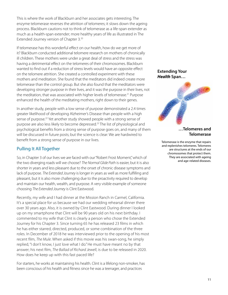This is where the work of Blackburn and her associates gets interesting. The enzyme telomerase reverses the attrition of telomeres; it slows down the ageing process. Blackburn cautions not to think of telomerase as a life-span extender as much as a health-span extender; more healthy years of life as illustrated in The Extended Journey version of Chapter 3.20

If telomerase has this wonderful effect on our health, how do we get more of it? Blackburn conducted additional telomere research on mothers of chronically ill children. These mothers were under a great deal of stress and the stress was having a detrimental effect on the telomeres of their chromosomes. Blackburn wanted to find out if a reduction of stress levels would have an opposite effect on the telomere attrition. She created a controlled experiment with these mothers and meditation. She found that the meditators did indeed create more telomerase than the control group. But she also found that the meditators were developing stronger purpose in their lives, and it was the purpose in their lives, not the meditation, that was associated with higher levels of telomerase.<sup>21</sup> Purpose enhanced the health of the meditating mothers, right down to their genes.

In another study, people with a low sense of purpose demonstrated a 2.4 times greater likelihood of developing Alzheimer's Disease than people with a high sense of purpose.<sup>22</sup> Yet another study showed people with a strong sense of purpose are also less likely to become depressed.<sup>23</sup> The list of physiological and psychological benefits from a strong sense of purpose goes on, and many of them will be discussed in future posts; but the science is clear: We are hardwired to benefit from a strong sense of purpose in our lives.

### Pulling It All Together

So, in Chapter 3 of our lives we are faced with our "Robert Frost Moment," which of the two diverging roads will we choose? *The Normal Glide Path* is easier, but it is also shorter in years and less pleasant due to the onset of chronic disease symptoms and lack of purpose. *The Extended Journey* is longer in years as well as more fulfilling and pleasant, but it is also more challenging due to the proactivity required to develop and maintain our health, wealth, and purpose. A very visible example of someone choosing *The Extended Journey* is Clint Eastwood.

Recently, my wife and I had dinner at the Mission Ranch in Carmel, California. It's a special place for us because we had our wedding rehearsal dinner there over 30 years ago. Also, it is owned by Clint Eastwood. During dinner I looked up on my smartphone that Clint will be 90 years old on his next birthday. I commented to my wife that Clint is clearly a person who chose the Extended Journey for his Chapter 3. Since turning 65 he has released 23 films in which he has either starred, directed, produced, or some combination of the three roles. In December of 2018 he was interviewed prior to the opening of his most recent film, *The Mule*. When asked if this movie was his swan-song, he simply replied, "I don't know, I just love what I do." He must have meant no by that answer; his next film, *The Ballad of Richard Jewell*, is due to be released in 2020. How does he keep up with this fast paced life?

For starters, he works at maintaining his health. Clint is a lifelong non-smoker, has been conscious of his health and fitness since he was a teenager, and practices

### *Health* **Span…**



#### **…Telomeres and Telomerase**

Telomerase is the enzyme that repairs and replenishes telomeres. Telomeres are structures at the ends of our chromosomes that protect them. They are associated with ageing and age-related diseases.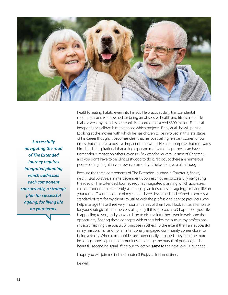

*Successfully navigating the road of The Extended Journey requires integrated planning which addresses each component concurrently, a strategic plan for successful ageing, for living life on your terms.*

healthful eating habits, even into his 80s. He practices daily transcendental meditation, and is renowned for being an obsessive health and fitness nut.<sup>24</sup> He is also a wealthy man; his net worth is reported to exceed \$300 million. Financial independence allows him to choose which projects, if any at all, he will pursue. Looking at the movies with which he has chosen to be involved in this late stage of his career though, it becomes clear that he loves telling relevant stories for our times that can have a positive impact on the world. He has a purpose that motivates him. I find it inspirational that a single person motivated by purpose can have a tremendous impact on others, even in *The Extended Journey* version of Chapter 3; and you don't have to be Clint Eastwood to do it. No doubt there are numerous people doing it right in your own community. It helps to have a plan though.

Because the three components of The Extended Journey in Chapter 3, *health, wealth, and purpose*, are interdependent upon each other, successfully navigating the road of The Extended Journey requires integrated planning which addresses each component concurrently, a strategic plan for successful ageing, for living life on your terms. Over the course of my career I have developed and refined a process, a standard of care for my clients to utilize with the professional service providers who help manage these three very important areas of their lives. I look at it as a template for your strategic plan for successful ageing. If this approach to Chapter 3 of your life is appealing to you, and you would like to discuss it further, I would welcome the opportunity. Sharing these concepts with others helps me pursue my professional mission: inspiring the pursuit of purpose in others. To the extent that I am successful in my mission, my vision of an intentionally engaged community comes closer to being a reality. When communities are intentionally engaged, they become more inspiring; more inspiring communities encourage the pursuit of purpose, and a beautiful ascending spiral lifting our collective *game* to the next level is launched.

I hope you will join me in The Chapter 3 Project. Until next time,

Be well!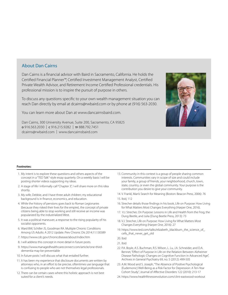#### About Dan Cairns

Dan Cairns is a financial advisor with Baird in Sacramento, California. He holds the Certified Financial Planner™, Certified Investment Management Analyst, Certified Private Wealth Advisor, and Retirement Income Certified Professional credentials. His professional mission is to inspire the pursuit of purpose in others.

To discuss any questions specific to your own wealth management situation you can reach Dan directly by email at dcairns@rwbaird.com or by phone at (916) 563-2030.

You can learn more about Dan at www.dancairnsbaird.com.

Dan Cairns, 300 University Avenue, Suite 200, Sacramento, CA 95825 **<sup>o</sup>** 916.563.2030 | **c** 916.215.9282 | **tf** 888.792.7451 dcairns@rwbaird.com | www.dancairnsbaird.com



#### **Footnotes:**

- 1. My intent is to explore these questions and others aspects of the concept in a "TED Talk"-style essay quarterly. On a weekly basis I will be posting shorter videos supporting my ideas.
- 2. A stage of life I informally call "Chapter 3", I will share more on this idea shortly.
- 3. My wife, Debbie, and I have three adult children; my educational background is in finance, economics, and education.
- 4. While the history of pensions goes back to Roman Legionaries (because they risked their lives for the empire), the concept of private citizens being able to stop working and still receive an income was popularized by the industrialized West.
- 5. It was a political maneuver, a response to the rising popularity of his socialist opponents.
- 6. Ward BW, Schiller JS, Goodman RA. Multiple Chronic Conditions Among US Adults: A 2012 Update. Prev Chronic Dis 2014;11:130389
- 7. https://www.cdc.gov/chronicdisease/about/index.htm
- 8. I will address this concept in more detail in future posts.
- 9. https://www.managedhealthcareconnect.com/article/one-thirddementia-may-be-preventable
- 10. In future posts I will discuss what that entailed further.
- 11. It has been my experience that disclosure documents are written by attorneys who, in an effort to be precise, oftentimes use language that is confusing to people who are not themselves legal professionals.
- 12. There can be certain cases where this holistic approach is not best suited for a client's needs.
- 13. Community in this context is a group of people sharing common interests. Communities vary in scope of size and could include your family, a group of friends, your neighborhood, church, town, state, country, or even the global community. Your purpose is the contribution you desire to give your community.
- 14. V. Frankl, Man's Search for Meaning (Boston: Beacon Press, 2006): 76
- 15. Ibid, 112
- 16. Strecher details those findings in his book, Life on Purpose: How Living for What Matters Most Changes Everything (Harper One, 2016).
- 17. V.J. Strecher, On Purpose: Lessons in Life and Health from the Frog, the Dung Beetle, and Julia (Dung Beetle Press, 2013): 73
- 18. V.J. Strecher, Life on Purpose: How Living for What Matters Most Changes Everything (Harper One, 2016): 27
- 19. https://www.ted.com/talks/elizabeth\_blackburn\_the\_science\_of\_ cells\_that\_never\_get\_old
- 20. Ibid
- 21. Ibid
- 22. P.A. Boyle, A.S. Buchman, R.S. Wilson, L. Lu, J.A. Schneider, and D.A. Bennet, "Effect of Purpose in Life on the Relation Between Alzheimer Disease Pathologic Changes on Cognitive Function in Advanced Age", Archives in General Psychiatry 69, no. 5 (2012): 499-505
- 23. A.M. Wood and S. Joseph, "The Absence of Positive Psychological (Eudemonic) Well-Being as a Risk Factor for Depression: A Ten-Year Cohort Study", Journal of Affective Disorders 122 (2010): 213-17
- 24. https://www.healthfitnessrevolution.com/clint-eastwood-workout